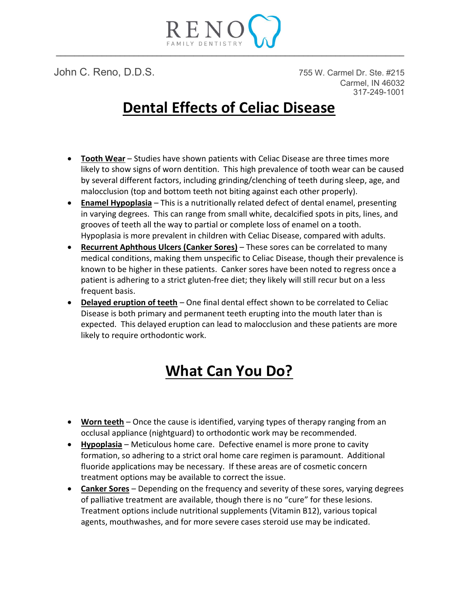

John C. Reno, D.D.S. 755 W. Carmel Dr. Ste. #215 Carmel, IN 46032 317-249-1001

## Dental Effects of Celiac Disease

- Tooth Wear Studies have shown patients with Celiac Disease are three times more likely to show signs of worn dentition. This high prevalence of tooth wear can be caused by several different factors, including grinding/clenching of teeth during sleep, age, and malocclusion (top and bottom teeth not biting against each other properly).
- Enamel Hypoplasia This is a nutritionally related defect of dental enamel, presenting in varying degrees. This can range from small white, decalcified spots in pits, lines, and grooves of teeth all the way to partial or complete loss of enamel on a tooth. Hypoplasia is more prevalent in children with Celiac Disease, compared with adults.
- Recurrent Aphthous Ulcers (Canker Sores) These sores can be correlated to many medical conditions, making them unspecific to Celiac Disease, though their prevalence is known to be higher in these patients. Canker sores have been noted to regress once a patient is adhering to a strict gluten-free diet; they likely will still recur but on a less frequent basis.
- Delayed eruption of teeth One final dental effect shown to be correlated to Celiac Disease is both primary and permanent teeth erupting into the mouth later than is expected. This delayed eruption can lead to malocclusion and these patients are more likely to require orthodontic work.

# What Can You Do?

- Worn teeth Once the cause is identified, varying types of therapy ranging from an occlusal appliance (nightguard) to orthodontic work may be recommended.
- Hypoplasia Meticulous home care. Defective enamel is more prone to cavity formation, so adhering to a strict oral home care regimen is paramount. Additional fluoride applications may be necessary. If these areas are of cosmetic concern treatment options may be available to correct the issue.
- Canker Sores Depending on the frequency and severity of these sores, varying degrees of palliative treatment are available, though there is no "cure" for these lesions. Treatment options include nutritional supplements (Vitamin B12), various topical agents, mouthwashes, and for more severe cases steroid use may be indicated.